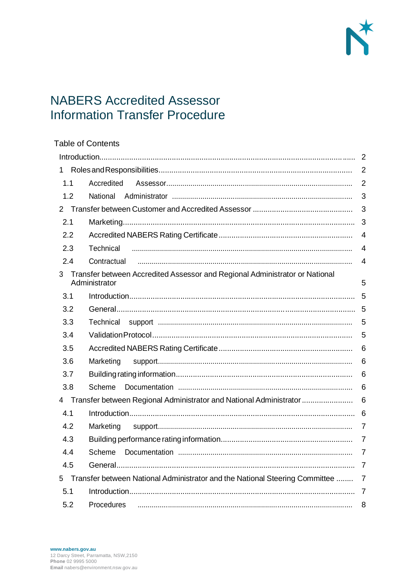

# **NABERS Accredited Assessor Information Transfer Procedure**

|                | <b>Table of Contents</b>                                                       |                |
|----------------|--------------------------------------------------------------------------------|----------------|
|                |                                                                                | $\overline{2}$ |
| 1              |                                                                                | $\overline{2}$ |
| 1.1            | Accredited                                                                     | $\overline{2}$ |
| 1.2            | National                                                                       | 3              |
| $\overline{2}$ |                                                                                | 3              |
| 2.1            |                                                                                | 3              |
| 2.2            |                                                                                | $\overline{4}$ |
| 2.3            | Technical                                                                      | $\overline{4}$ |
| 2.4            | Contractual                                                                    | $\overline{4}$ |
| 3              | Transfer between Accredited Assessor and Regional Administrator or National    |                |
|                | Administrator                                                                  | 5              |
| 3.1            |                                                                                | 5              |
| 3.2            |                                                                                | 5              |
| 3.3            | Technical                                                                      | 5              |
| 3.4            |                                                                                | 5              |
| 3.5            |                                                                                | 6              |
| 3.6            | Marketing                                                                      | 6              |
| 3.7            |                                                                                | 6              |
| 3.8            | Scheme                                                                         | 6              |
| 4              | Transfer between Regional Administrator and National Administrator             | 6              |
| 4.1            |                                                                                | 6              |
| 4.2            | Marketing                                                                      | $\overline{7}$ |
| 4.3            |                                                                                | $\overline{7}$ |
| 4.4            | Scheme                                                                         | $\overline{7}$ |
| 4.5            |                                                                                |                |
| 5              | Transfer between National Administrator and the National Steering Committee  7 |                |
| 5.1            |                                                                                |                |
| 5.2            |                                                                                |                |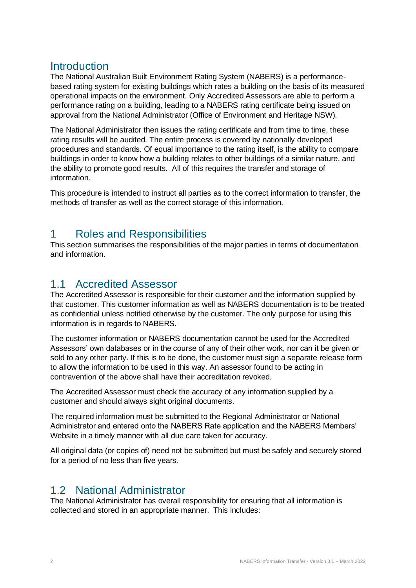## Introduction

The National Australian Built Environment Rating System (NABERS) is a performancebased rating system for existing buildings which rates a building on the basis of its measured operational impacts on the environment. Only Accredited Assessors are able to perform a performance rating on a building, leading to a NABERS rating certificate being issued on approval from the National Administrator (Office of Environment and Heritage NSW).

The National Administrator then issues the rating certificate and from time to time, these rating results will be audited. The entire process is covered by nationally developed procedures and standards. Of equal importance to the rating itself, is the ability to compare buildings in order to know how a building relates to other buildings of a similar nature, and the ability to promote good results. All of this requires the transfer and storage of information.

This procedure is intended to instruct all parties as to the correct information to transfer, the methods of transfer as well as the correct storage of this information.

# 1 Roles and Responsibilities

This section summarises the responsibilities of the major parties in terms of documentation and information.

#### 1.1 Accredited Assessor

The Accredited Assessor is responsible for their customer and the information supplied by that customer. This customer information as well as NABERS documentation is to be treated as confidential unless notified otherwise by the customer. The only purpose for using this information is in regards to NABERS.

The customer information or NABERS documentation cannot be used for the Accredited Assessors' own databases or in the course of any of their other work, nor can it be given or sold to any other party. If this is to be done, the customer must sign a separate release form to allow the information to be used in this way. An assessor found to be acting in contravention of the above shall have their accreditation revoked.

The Accredited Assessor must check the accuracy of any information supplied by a customer and should always sight original documents.

The required information must be submitted to the Regional Administrator or National Administrator and entered onto the NABERS Rate application and the NABERS Members' Website in a timely manner with all due care taken for accuracy.

All original data (or copies of) need not be submitted but must be safely and securely stored for a period of no less than five years.

#### 1.2 National Administrator

The National Administrator has overall responsibility for ensuring that all information is collected and stored in an appropriate manner. This includes: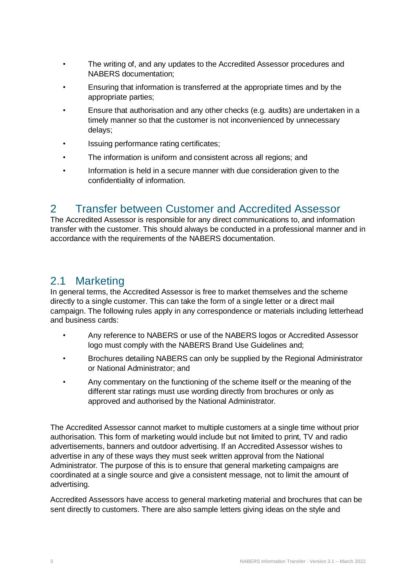- The writing of, and any updates to the Accredited Assessor procedures and NABERS documentation;
- Ensuring that information is transferred at the appropriate times and by the appropriate parties;
- Ensure that authorisation and any other checks (e.g. audits) are undertaken in a timely manner so that the customer is not inconvenienced by unnecessary delays;
- Issuing performance rating certificates;
- The information is uniform and consistent across all regions; and
- Information is held in a secure manner with due consideration given to the confidentiality of information.

## 2 Transfer between Customer and Accredited Assessor

The Accredited Assessor is responsible for any direct communications to, and information transfer with the customer. This should always be conducted in a professional manner and in accordance with the requirements of the NABERS documentation.

## 2.1 Marketing

In general terms, the Accredited Assessor is free to market themselves and the scheme directly to a single customer. This can take the form of a single letter or a direct mail campaign. The following rules apply in any correspondence or materials including letterhead and business cards:

- Any reference to NABERS or use of the NABERS logos or Accredited Assessor logo must comply with the NABERS Brand Use Guidelines and;
- Brochures detailing NABERS can only be supplied by the Regional Administrator or National Administrator; and
- Any commentary on the functioning of the scheme itself or the meaning of the different star ratings must use wording directly from brochures or only as approved and authorised by the National Administrator.

The Accredited Assessor cannot market to multiple customers at a single time without prior authorisation. This form of marketing would include but not limited to print, TV and radio advertisements, banners and outdoor advertising. If an Accredited Assessor wishes to advertise in any of these ways they must seek written approval from the National Administrator. The purpose of this is to ensure that general marketing campaigns are coordinated at a single source and give a consistent message, not to limit the amount of advertising.

Accredited Assessors have access to general marketing material and brochures that can be sent directly to customers. There are also sample letters giving ideas on the style and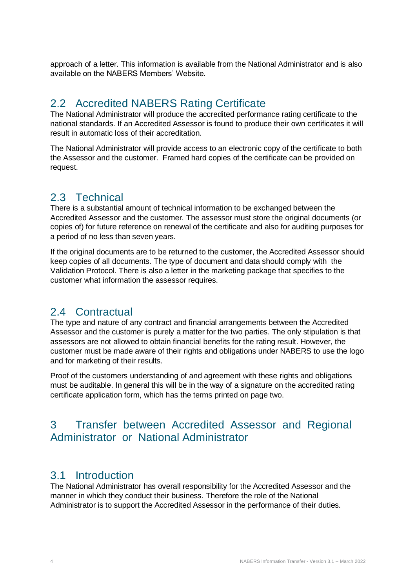approach of a letter. This information is available from the National Administrator and is also available on the NABERS Members' Website.

# 2.2 Accredited NABERS Rating Certificate

The National Administrator will produce the accredited performance rating certificate to the national standards. If an Accredited Assessor is found to produce their own certificates it will result in automatic loss of their accreditation.

The National Administrator will provide access to an electronic copy of the certificate to both the Assessor and the customer. Framed hard copies of the certificate can be provided on request.

# 2.3 Technical

There is a substantial amount of technical information to be exchanged between the Accredited Assessor and the customer. The assessor must store the original documents (or copies of) for future reference on renewal of the certificate and also for auditing purposes for a period of no less than seven years.

If the original documents are to be returned to the customer, the Accredited Assessor should keep copies of all documents. The type of document and data should comply with the Validation Protocol. There is also a letter in the marketing package that specifies to the customer what information the assessor requires.

## 2.4 Contractual

The type and nature of any contract and financial arrangements between the Accredited Assessor and the customer is purely a matter for the two parties. The only stipulation is that assessors are not allowed to obtain financial benefits for the rating result. However, the customer must be made aware of their rights and obligations under NABERS to use the logo and for marketing of their results.

Proof of the customers understanding of and agreement with these rights and obligations must be auditable. In general this will be in the way of a signature on the accredited rating certificate application form, which has the terms printed on page two.

# 3 Transfer between Accredited Assessor and Regional Administrator or National Administrator

#### 3.1 Introduction

The National Administrator has overall responsibility for the Accredited Assessor and the manner in which they conduct their business. Therefore the role of the National Administrator is to support the Accredited Assessor in the performance of their duties.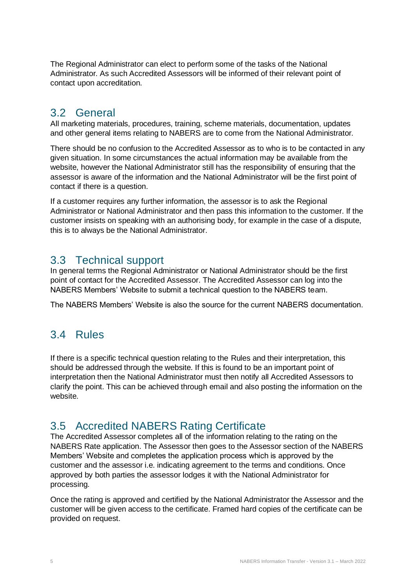The Regional Administrator can elect to perform some of the tasks of the National Administrator. As such Accredited Assessors will be informed of their relevant point of contact upon accreditation.

## 3.2 General

All marketing materials, procedures, training, scheme materials, documentation, updates and other general items relating to NABERS are to come from the National Administrator.

There should be no confusion to the Accredited Assessor as to who is to be contacted in any given situation. In some circumstances the actual information may be available from the website, however the National Administrator still has the responsibility of ensuring that the assessor is aware of the information and the National Administrator will be the first point of contact if there is a question.

If a customer requires any further information, the assessor is to ask the Regional Administrator or National Administrator and then pass this information to the customer. If the customer insists on speaking with an authorising body, for example in the case of a dispute, this is to always be the National Administrator.

#### 3.3 Technical support

In general terms the Regional Administrator or National Administrator should be the first point of contact for the Accredited Assessor. The Accredited Assessor can log into the NABERS Members' Website to submit a technical question to the NABERS team.

The NABERS Members' Website is also the source for the current NABERS documentation.

## 3.4 Rules

If there is a specific technical question relating to the Rules and their interpretation, this should be addressed through the website. If this is found to be an important point of interpretation then the National Administrator must then notify all Accredited Assessors to clarify the point. This can be achieved through email and also posting the information on the website.

## 3.5 Accredited NABERS Rating Certificate

The Accredited Assessor completes all of the information relating to the rating on the NABERS Rate application. The Assessor then goes to the Assessor section of the NABERS Members' Website and completes the application process which is approved by the customer and the assessor i.e. indicating agreement to the terms and conditions. Once approved by both parties the assessor lodges it with the National Administrator for processing.

Once the rating is approved and certified by the National Administrator the Assessor and the customer will be given access to the certificate. Framed hard copies of the certificate can be provided on request.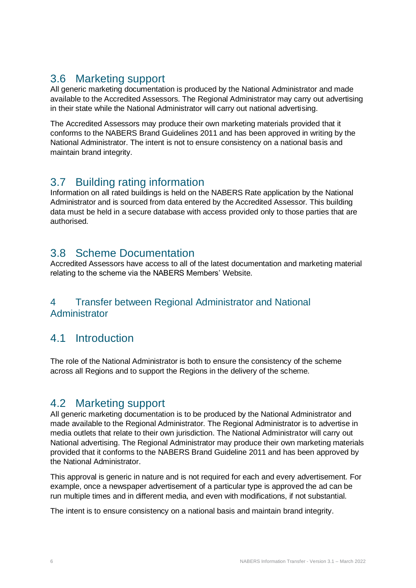# 3.6 Marketing support

All generic marketing documentation is produced by the National Administrator and made available to the Accredited Assessors. The Regional Administrator may carry out advertising in their state while the National Administrator will carry out national advertising.

The Accredited Assessors may produce their own marketing materials provided that it conforms to the NABERS Brand Guidelines 2011 and has been approved in writing by the National Administrator. The intent is not to ensure consistency on a national basis and maintain brand integrity.

# 3.7 Building rating information

Information on all rated buildings is held on the NABERS Rate application by the National Administrator and is sourced from data entered by the Accredited Assessor. This building data must be held in a secure database with access provided only to those parties that are authorised.

## 3.8 Scheme Documentation

Accredited Assessors have access to all of the latest documentation and marketing material relating to the scheme via the NABERS Members' Website.

#### 4 Transfer between Regional Administrator and National Administrator

# 4.1 Introduction

The role of the National Administrator is both to ensure the consistency of the scheme across all Regions and to support the Regions in the delivery of the scheme.

# 4.2 Marketing support

All generic marketing documentation is to be produced by the National Administrator and made available to the Regional Administrator. The Regional Administrator is to advertise in media outlets that relate to their own jurisdiction. The National Administrator will carry out National advertising. The Regional Administrator may produce their own marketing materials provided that it conforms to the NABERS Brand Guideline 2011 and has been approved by the National Administrator.

This approval is generic in nature and is not required for each and every advertisement. For example, once a newspaper advertisement of a particular type is approved the ad can be run multiple times and in different media, and even with modifications, if not substantial.

The intent is to ensure consistency on a national basis and maintain brand integrity.